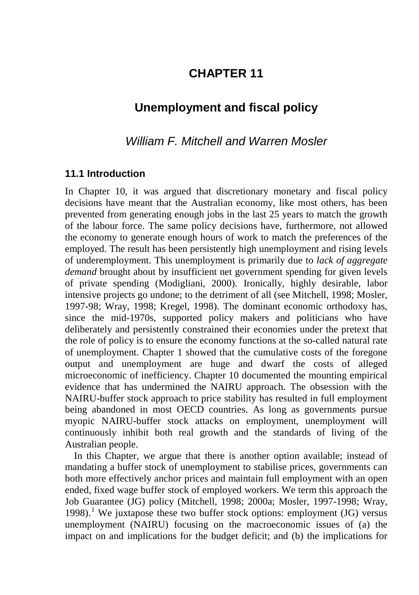## **CHAPTER 11**

# **Unemployment and fiscal policy**

### *William F. Mitchell and Warren Mosler*

#### **11.1 Introduction**

In Chapter 10, it was argued that discretionary monetary and fiscal policy decisions have meant that the Australian economy, like most others, has been prevented from generating enough jobs in the last 25 years to match the growth of the labour force. The same policy decisions have, furthermore, not allowed the economy to generate enough hours of work to match the preferences of the employed. The result has been persistently high unemployment and rising levels of underemployment. This unemployment is primarily due to *lack of aggregate demand* brought about by insufficient net government spending for given levels of private spending (Modigliani, 2000). Ironically, highly desirable, labor intensive projects go undone; to the detriment of all (see Mitchell, 1998; Mosler, 1997-98; Wray, 1998; Kregel, 1998). The dominant economic orthodoxy has, since the mid-1970s, supported policy makers and politicians who have deliberately and persistently constrained their economies under the pretext that the role of policy is to ensure the economy functions at the so-called natural rate of unemployment. Chapter 1 showed that the cumulative costs of the foregone output and unemployment are huge and dwarf the costs of alleged microeconomic of inefficiency. Chapter 10 documented the mounting empirical evidence that has undermined the NAIRU approach. The obsession with the NAIRU-buffer stock approach to price stability has resulted in full employment being abandoned in most OECD countries. As long as governments pursue myopic NAIRU-buffer stock attacks on employment, unemployment will continuously inhibit both real growth and the standards of living of the Australian people.

In this Chapter, we argue that there is another option available; instead of mandating a buffer stock of unemployment to stabilise prices, governments can both more effectively anchor prices and maintain full employment with an open ended, fixed wage buffer stock of employed workers. We term this approach the Job Guarantee (JG) policy (Mitchell, 1998; 2000a; Mosler, 1997-1998; Wray, [1](#page-11-0)998).<sup>1</sup> We juxtapose these two buffer stock options: employment  $(JG)$  versus unemployment (NAIRU) focusing on the macroeconomic issues of (a) the impact on and implications for the budget deficit; and (b) the implications for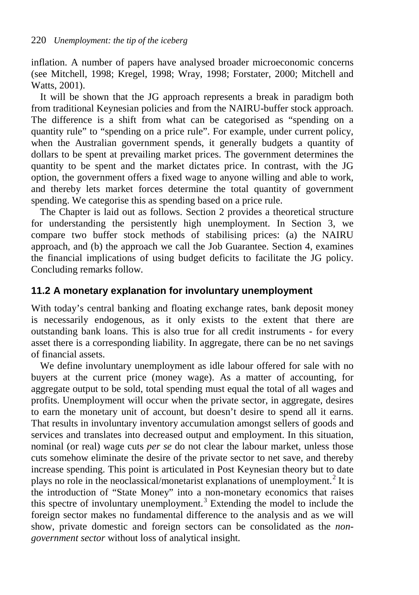inflation. A number of papers have analysed broader microeconomic concerns (see Mitchell, 1998; Kregel, 1998; Wray, 1998; Forstater, 2000; Mitchell and Watts, 2001).

It will be shown that the JG approach represents a break in paradigm both from traditional Keynesian policies and from the NAIRU-buffer stock approach. The difference is a shift from what can be categorised as "spending on a quantity rule" to "spending on a price rule". For example, under current policy, when the Australian government spends, it generally budgets a quantity of dollars to be spent at prevailing market prices. The government determines the quantity to be spent and the market dictates price. In contrast, with the JG option, the government offers a fixed wage to anyone willing and able to work, and thereby lets market forces determine the total quantity of government spending. We categorise this as spending based on a price rule.

The Chapter is laid out as follows. Section 2 provides a theoretical structure for understanding the persistently high unemployment. In Section 3, we compare two buffer stock methods of stabilising prices: (a) the NAIRU approach, and (b) the approach we call the Job Guarantee. Section 4, examines the financial implications of using budget deficits to facilitate the JG policy. Concluding remarks follow.

#### **11.2 A monetary explanation for involuntary unemployment**

With today's central banking and floating exchange rates, bank deposit money is necessarily endogenous, as it only exists to the extent that there are outstanding bank loans. This is also true for all credit instruments - for every asset there is a corresponding liability. In aggregate, there can be no net savings of financial assets.

We define involuntary unemployment as idle labour offered for sale with no buyers at the current price (money wage). As a matter of accounting, for aggregate output to be sold, total spending must equal the total of all wages and profits. Unemployment will occur when the private sector, in aggregate, desires to earn the monetary unit of account, but doesn't desire to spend all it earns. That results in involuntary inventory accumulation amongst sellers of goods and services and translates into decreased output and employment. In this situation, nominal (or real) wage cuts *per se* do not clear the labour market, unless those cuts somehow eliminate the desire of the private sector to net save, and thereby increase spending. This point is articulated in Post Keynesian theory but to date plays no role in the neoclassical/monetarist explanations of unemployment.<sup>[2](#page-11-1)</sup> It is the introduction of "State Money" into a non-monetary economics that raises this spectre of involuntary unemployment.[3](#page-11-2) Extending the model to include the foreign sector makes no fundamental difference to the analysis and as we will show, private domestic and foreign sectors can be consolidated as the *nongovernment sector* without loss of analytical insight.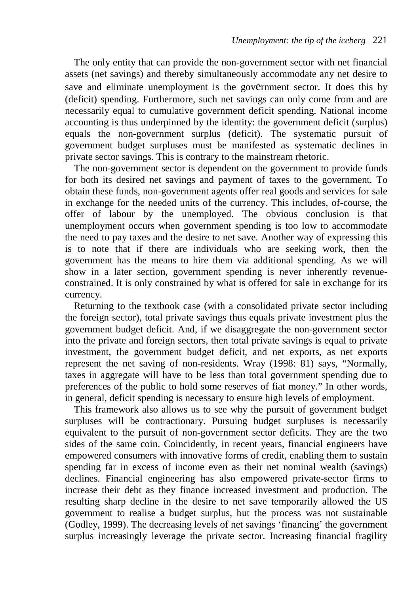The only entity that can provide the non-government sector with net financial assets (net savings) and thereby simultaneously accommodate any net desire to save and eliminate unemployment is the government sector. It does this by (deficit) spending. Furthermore, such net savings can only come from and are necessarily equal to cumulative government deficit spending. National income accounting is thus underpinned by the identity: the government deficit (surplus) equals the non-government surplus (deficit). The systematic pursuit of government budget surpluses must be manifested as systematic declines in private sector savings. This is contrary to the mainstream rhetoric.

The non-government sector is dependent on the government to provide funds for both its desired net savings and payment of taxes to the government. To obtain these funds, non-government agents offer real goods and services for sale in exchange for the needed units of the currency. This includes, of-course, the offer of labour by the unemployed. The obvious conclusion is that unemployment occurs when government spending is too low to accommodate the need to pay taxes and the desire to net save. Another way of expressing this is to note that if there are individuals who are seeking work, then the government has the means to hire them via additional spending. As we will show in a later section, government spending is never inherently revenueconstrained. It is only constrained by what is offered for sale in exchange for its currency.

Returning to the textbook case (with a consolidated private sector including the foreign sector), total private savings thus equals private investment plus the government budget deficit. And, if we disaggregate the non-government sector into the private and foreign sectors, then total private savings is equal to private investment, the government budget deficit, and net exports, as net exports represent the net saving of non-residents. Wray (1998: 81) says, "Normally, taxes in aggregate will have to be less than total government spending due to preferences of the public to hold some reserves of fiat money." In other words, in general, deficit spending is necessary to ensure high levels of employment.

This framework also allows us to see why the pursuit of government budget surpluses will be contractionary. Pursuing budget surpluses is necessarily equivalent to the pursuit of non-government sector deficits. They are the two sides of the same coin. Coincidently, in recent years, financial engineers have empowered consumers with innovative forms of credit, enabling them to sustain spending far in excess of income even as their net nominal wealth (savings) declines. Financial engineering has also empowered private-sector firms to increase their debt as they finance increased investment and production. The resulting sharp decline in the desire to net save temporarily allowed the US government to realise a budget surplus, but the process was not sustainable (Godley, 1999). The decreasing levels of net savings 'financing' the government surplus increasingly leverage the private sector. Increasing financial fragility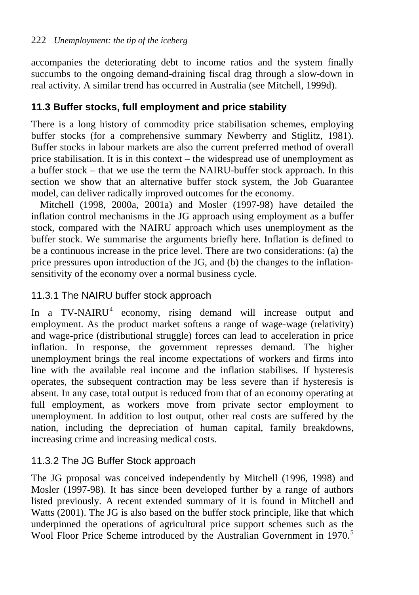accompanies the deteriorating debt to income ratios and the system finally succumbs to the ongoing demand-draining fiscal drag through a slow-down in real activity. A similar trend has occurred in Australia (see Mitchell, 1999d).

## **11.3 Buffer stocks, full employment and price stability**

There is a long history of commodity price stabilisation schemes, employing buffer stocks (for a comprehensive summary Newberry and Stiglitz, 1981). Buffer stocks in labour markets are also the current preferred method of overall price stabilisation. It is in this context – the widespread use of unemployment as a buffer stock – that we use the term the NAIRU-buffer stock approach. In this section we show that an alternative buffer stock system, the Job Guarantee model, can deliver radically improved outcomes for the economy.

Mitchell (1998, 2000a, 2001a) and Mosler (1997-98) have detailed the inflation control mechanisms in the JG approach using employment as a buffer stock, compared with the NAIRU approach which uses unemployment as the buffer stock. We summarise the arguments briefly here. Inflation is defined to be a continuous increase in the price level. There are two considerations: (a) the price pressures upon introduction of the JG, and (b) the changes to the inflationsensitivity of the economy over a normal business cycle.

## 11.3.1 The NAIRU buffer stock approach

In a TV-NAIRU<sup>[4](#page-11-3)</sup> economy, rising demand will increase output and employment. As the product market softens a range of wage-wage (relativity) and wage-price (distributional struggle) forces can lead to acceleration in price inflation. In response, the government represses demand. The higher unemployment brings the real income expectations of workers and firms into line with the available real income and the inflation stabilises. If hysteresis operates, the subsequent contraction may be less severe than if hysteresis is absent. In any case, total output is reduced from that of an economy operating at full employment, as workers move from private sector employment to unemployment. In addition to lost output, other real costs are suffered by the nation, including the depreciation of human capital, family breakdowns, increasing crime and increasing medical costs.

## 11.3.2 The JG Buffer Stock approach

The JG proposal was conceived independently by Mitchell (1996, 1998) and Mosler (1997-98). It has since been developed further by a range of authors listed previously. A recent extended summary of it is found in Mitchell and Watts (2001). The JG is also based on the buffer stock principle, like that which underpinned the operations of agricultural price support schemes such as the Wool Floor Price Scheme introduced by the Australian Government in 1970.<sup>[5](#page-12-0)</sup>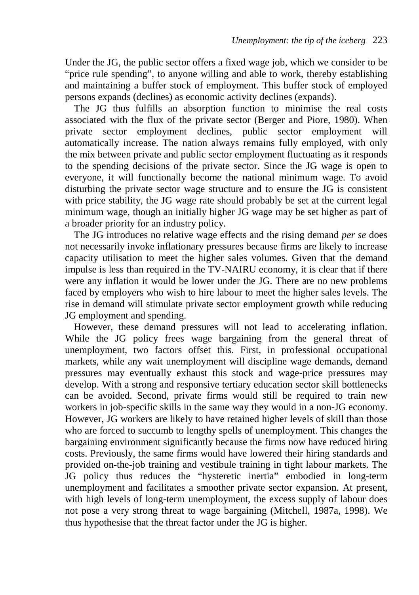Under the JG, the public sector offers a fixed wage job, which we consider to be "price rule spending", to anyone willing and able to work, thereby establishing and maintaining a buffer stock of employment. This buffer stock of employed persons expands (declines) as economic activity declines (expands).

The JG thus fulfills an absorption function to minimise the real costs associated with the flux of the private sector (Berger and Piore, 1980). When private sector employment declines, public sector employment will automatically increase. The nation always remains fully employed, with only the mix between private and public sector employment fluctuating as it responds to the spending decisions of the private sector. Since the JG wage is open to everyone, it will functionally become the national minimum wage. To avoid disturbing the private sector wage structure and to ensure the JG is consistent with price stability, the JG wage rate should probably be set at the current legal minimum wage, though an initially higher JG wage may be set higher as part of a broader priority for an industry policy.

The JG introduces no relative wage effects and the rising demand *per se* does not necessarily invoke inflationary pressures because firms are likely to increase capacity utilisation to meet the higher sales volumes. Given that the demand impulse is less than required in the TV-NAIRU economy, it is clear that if there were any inflation it would be lower under the JG. There are no new problems faced by employers who wish to hire labour to meet the higher sales levels. The rise in demand will stimulate private sector employment growth while reducing JG employment and spending.

However, these demand pressures will not lead to accelerating inflation. While the JG policy frees wage bargaining from the general threat of unemployment, two factors offset this. First, in professional occupational markets, while any wait unemployment will discipline wage demands, demand pressures may eventually exhaust this stock and wage-price pressures may develop. With a strong and responsive tertiary education sector skill bottlenecks can be avoided. Second, private firms would still be required to train new workers in job-specific skills in the same way they would in a non-JG economy. However, JG workers are likely to have retained higher levels of skill than those who are forced to succumb to lengthy spells of unemployment. This changes the bargaining environment significantly because the firms now have reduced hiring costs. Previously, the same firms would have lowered their hiring standards and provided on-the-job training and vestibule training in tight labour markets. The JG policy thus reduces the "hysteretic inertia" embodied in long-term unemployment and facilitates a smoother private sector expansion. At present, with high levels of long-term unemployment, the excess supply of labour does not pose a very strong threat to wage bargaining (Mitchell, 1987a, 1998). We thus hypothesise that the threat factor under the JG is higher.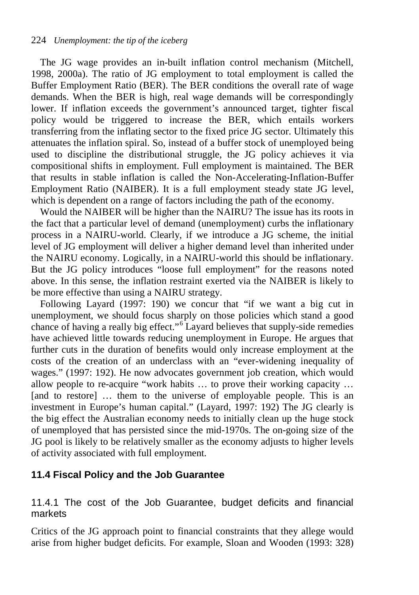The JG wage provides an in-built inflation control mechanism (Mitchell, 1998, 2000a). The ratio of JG employment to total employment is called the Buffer Employment Ratio (BER). The BER conditions the overall rate of wage demands. When the BER is high, real wage demands will be correspondingly lower. If inflation exceeds the government's announced target, tighter fiscal policy would be triggered to increase the BER, which entails workers transferring from the inflating sector to the fixed price JG sector. Ultimately this attenuates the inflation spiral. So, instead of a buffer stock of unemployed being used to discipline the distributional struggle, the JG policy achieves it via compositional shifts in employment. Full employment is maintained. The BER that results in stable inflation is called the Non-Accelerating-Inflation-Buffer Employment Ratio (NAIBER). It is a full employment steady state JG level, which is dependent on a range of factors including the path of the economy.

Would the NAIBER will be higher than the NAIRU? The issue has its roots in the fact that a particular level of demand (unemployment) curbs the inflationary process in a NAIRU-world. Clearly, if we introduce a JG scheme, the initial level of JG employment will deliver a higher demand level than inherited under the NAIRU economy. Logically, in a NAIRU-world this should be inflationary. But the JG policy introduces "loose full employment" for the reasons noted above. In this sense, the inflation restraint exerted via the NAIBER is likely to be more effective than using a NAIRU strategy.

Following Layard (1997: 190) we concur that "if we want a big cut in unemployment, we should focus sharply on those policies which stand a good chance of having a really big effect."<sup>[6](#page-12-1)</sup> Layard believes that supply-side remedies have achieved little towards reducing unemployment in Europe. He argues that further cuts in the duration of benefits would only increase employment at the costs of the creation of an underclass with an "ever-widening inequality of wages." (1997: 192). He now advocates government job creation, which would allow people to re-acquire "work habits … to prove their working capacity … [and to restore] ... them to the universe of employable people. This is an investment in Europe's human capital." (Layard, 1997: 192) The JG clearly is the big effect the Australian economy needs to initially clean up the huge stock of unemployed that has persisted since the mid-1970s. The on-going size of the JG pool is likely to be relatively smaller as the economy adjusts to higher levels of activity associated with full employment.

#### **11.4 Fiscal Policy and the Job Guarantee**

11.4.1 The cost of the Job Guarantee, budget deficits and financial markets

Critics of the JG approach point to financial constraints that they allege would arise from higher budget deficits. For example, Sloan and Wooden (1993: 328)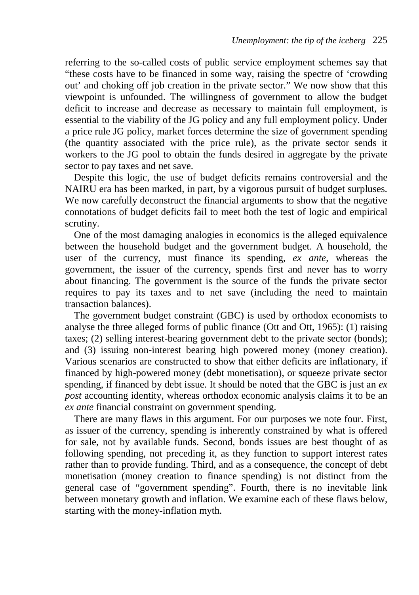referring to the so-called costs of public service employment schemes say that "these costs have to be financed in some way, raising the spectre of 'crowding out' and choking off job creation in the private sector." We now show that this viewpoint is unfounded. The willingness of government to allow the budget deficit to increase and decrease as necessary to maintain full employment, is essential to the viability of the JG policy and any full employment policy. Under a price rule JG policy, market forces determine the size of government spending (the quantity associated with the price rule), as the private sector sends it workers to the JG pool to obtain the funds desired in aggregate by the private sector to pay taxes and net save.

Despite this logic, the use of budget deficits remains controversial and the NAIRU era has been marked, in part, by a vigorous pursuit of budget surpluses. We now carefully deconstruct the financial arguments to show that the negative connotations of budget deficits fail to meet both the test of logic and empirical scrutiny.

One of the most damaging analogies in economics is the alleged equivalence between the household budget and the government budget. A household, the user of the currency, must finance its spending, *ex ante*, whereas the government, the issuer of the currency, spends first and never has to worry about financing. The government is the source of the funds the private sector requires to pay its taxes and to net save (including the need to maintain transaction balances).

The government budget constraint (GBC) is used by orthodox economists to analyse the three alleged forms of public finance (Ott and Ott, 1965): (1) raising taxes; (2) selling interest-bearing government debt to the private sector (bonds); and (3) issuing non-interest bearing high powered money (money creation). Various scenarios are constructed to show that either deficits are inflationary, if financed by high-powered money (debt monetisation), or squeeze private sector spending, if financed by debt issue. It should be noted that the GBC is just an *ex post* accounting identity, whereas orthodox economic analysis claims it to be an *ex ante* financial constraint on government spending.

There are many flaws in this argument. For our purposes we note four. First, as issuer of the currency, spending is inherently constrained by what is offered for sale, not by available funds. Second, bonds issues are best thought of as following spending, not preceding it, as they function to support interest rates rather than to provide funding. Third, and as a consequence, the concept of debt monetisation (money creation to finance spending) is not distinct from the general case of "government spending". Fourth, there is no inevitable link between monetary growth and inflation. We examine each of these flaws below, starting with the money-inflation myth.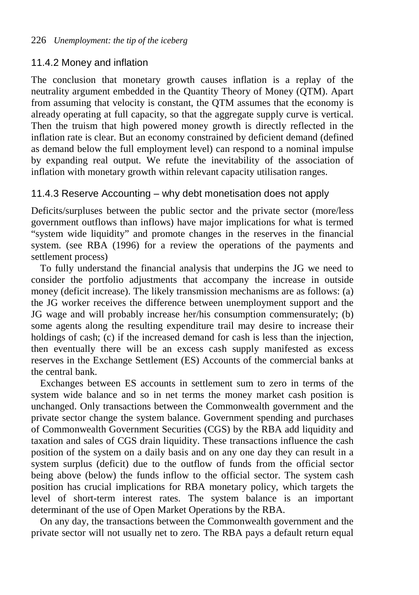### 11.4.2 Money and inflation

The conclusion that monetary growth causes inflation is a replay of the neutrality argument embedded in the Quantity Theory of Money (QTM). Apart from assuming that velocity is constant, the QTM assumes that the economy is already operating at full capacity, so that the aggregate supply curve is vertical. Then the truism that high powered money growth is directly reflected in the inflation rate is clear. But an economy constrained by deficient demand (defined as demand below the full employment level) can respond to a nominal impulse by expanding real output. We refute the inevitability of the association of inflation with monetary growth within relevant capacity utilisation ranges.

### 11.4.3 Reserve Accounting – why debt monetisation does not apply

Deficits/surpluses between the public sector and the private sector (more/less government outflows than inflows) have major implications for what is termed "system wide liquidity" and promote changes in the reserves in the financial system. (see RBA (1996) for a review the operations of the payments and settlement process)

To fully understand the financial analysis that underpins the JG we need to consider the portfolio adjustments that accompany the increase in outside money (deficit increase). The likely transmission mechanisms are as follows: (a) the JG worker receives the difference between unemployment support and the JG wage and will probably increase her/his consumption commensurately; (b) some agents along the resulting expenditure trail may desire to increase their holdings of cash; (c) if the increased demand for cash is less than the injection. then eventually there will be an excess cash supply manifested as excess reserves in the Exchange Settlement (ES) Accounts of the commercial banks at the central bank.

Exchanges between ES accounts in settlement sum to zero in terms of the system wide balance and so in net terms the money market cash position is unchanged. Only transactions between the Commonwealth government and the private sector change the system balance. Government spending and purchases of Commonwealth Government Securities (CGS) by the RBA add liquidity and taxation and sales of CGS drain liquidity. These transactions influence the cash position of the system on a daily basis and on any one day they can result in a system surplus (deficit) due to the outflow of funds from the official sector being above (below) the funds inflow to the official sector. The system cash position has crucial implications for RBA monetary policy, which targets the level of short-term interest rates. The system balance is an important determinant of the use of Open Market Operations by the RBA.

On any day, the transactions between the Commonwealth government and the private sector will not usually net to zero. The RBA pays a default return equal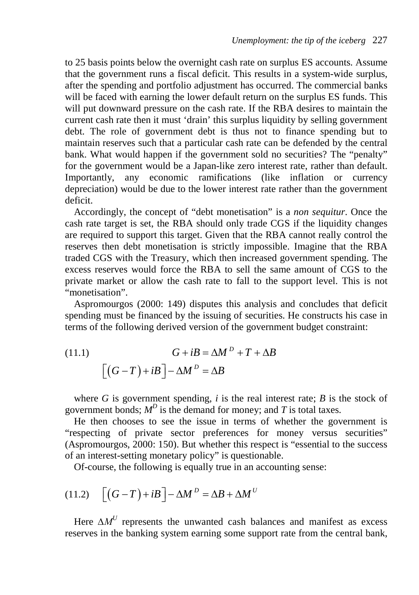to 25 basis points below the overnight cash rate on surplus ES accounts. Assume that the government runs a fiscal deficit. This results in a system-wide surplus, after the spending and portfolio adjustment has occurred. The commercial banks will be faced with earning the lower default return on the surplus ES funds. This will put downward pressure on the cash rate. If the RBA desires to maintain the current cash rate then it must 'drain' this surplus liquidity by selling government debt. The role of government debt is thus not to finance spending but to maintain reserves such that a particular cash rate can be defended by the central bank. What would happen if the government sold no securities? The "penalty" for the government would be a Japan-like zero interest rate, rather than default. Importantly, any economic ramifications (like inflation or currency depreciation) would be due to the lower interest rate rather than the government deficit.

Accordingly, the concept of "debt monetisation" is a *non sequitur*. Once the cash rate target is set, the RBA should only trade CGS if the liquidity changes are required to support this target. Given that the RBA cannot really control the reserves then debt monetisation is strictly impossible. Imagine that the RBA traded CGS with the Treasury, which then increased government spending. The excess reserves would force the RBA to sell the same amount of CGS to the private market or allow the cash rate to fall to the support level. This is not "monetisation".

Aspromourgos (2000: 149) disputes this analysis and concludes that deficit spending must be financed by the issuing of securities. He constructs his case in terms of the following derived version of the government budget constraint:

(11.1) 
$$
G + iB = \Delta M^D + T + \Delta B
$$

$$
\left[ (G - T) + iB \right] - \Delta M^D = \Delta B
$$

where  $G$  is government spending,  $i$  is the real interest rate;  $B$  is the stock of government bonds;  $M^D$  is the demand for money; and *T* is total taxes.

He then chooses to see the issue in terms of whether the government is "respecting of private sector preferences for money versus securities" (Aspromourgos, 2000: 150). But whether this respect is "essential to the success of an interest-setting monetary policy" is questionable.

Of-course, the following is equally true in an accounting sense:

$$
(11.2)\quad \left[\left(G - T\right) + iB\right] - \Delta M^D = \Delta B + \Delta M^U
$$

Here  $\Delta M^U$  represents the unwanted cash balances and manifest as excess reserves in the banking system earning some support rate from the central bank,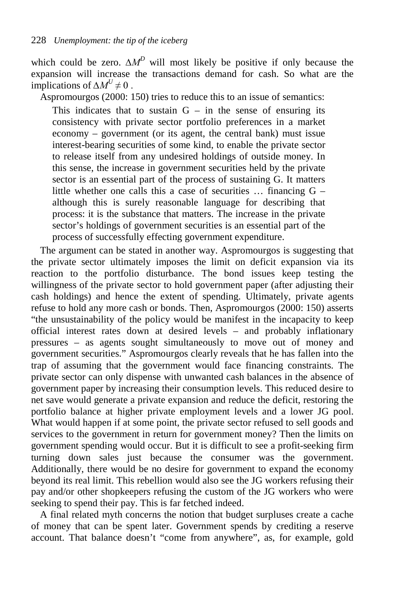which could be zero. *∆M<sup>D</sup>* will most likely be positive if only because the expansion will increase the transactions demand for cash. So what are the implications of  $\Delta M^U \neq 0$ .

Aspromourgos (2000: 150) tries to reduce this to an issue of semantics:

This indicates that to sustain  $G - in$  the sense of ensuring its consistency with private sector portfolio preferences in a market economy – government (or its agent, the central bank) must issue interest-bearing securities of some kind, to enable the private sector to release itself from any undesired holdings of outside money. In this sense, the increase in government securities held by the private sector is an essential part of the process of sustaining G. It matters little whether one calls this a case of securities … financing G – although this is surely reasonable language for describing that process: it is the substance that matters. The increase in the private sector's holdings of government securities is an essential part of the process of successfully effecting government expenditure.

The argument can be stated in another way. Aspromourgos is suggesting that the private sector ultimately imposes the limit on deficit expansion via its reaction to the portfolio disturbance. The bond issues keep testing the willingness of the private sector to hold government paper (after adjusting their cash holdings) and hence the extent of spending. Ultimately, private agents refuse to hold any more cash or bonds. Then, Aspromourgos (2000: 150) asserts "the unsustainability of the policy would be manifest in the incapacity to keep official interest rates down at desired levels – and probably inflationary pressures – as agents sought simultaneously to move out of money and government securities." Aspromourgos clearly reveals that he has fallen into the trap of assuming that the government would face financing constraints. The private sector can only dispense with unwanted cash balances in the absence of government paper by increasing their consumption levels. This reduced desire to net save would generate a private expansion and reduce the deficit, restoring the portfolio balance at higher private employment levels and a lower JG pool. What would happen if at some point, the private sector refused to sell goods and services to the government in return for government money? Then the limits on government spending would occur. But it is difficult to see a profit-seeking firm turning down sales just because the consumer was the government. Additionally, there would be no desire for government to expand the economy beyond its real limit. This rebellion would also see the JG workers refusing their pay and/or other shopkeepers refusing the custom of the JG workers who were seeking to spend their pay. This is far fetched indeed.

A final related myth concerns the notion that budget surpluses create a cache of money that can be spent later. Government spends by crediting a reserve account. That balance doesn't "come from anywhere", as, for example, gold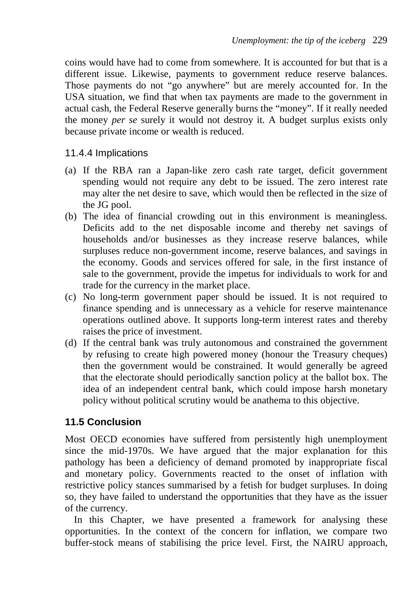coins would have had to come from somewhere. It is accounted for but that is a different issue. Likewise, payments to government reduce reserve balances. Those payments do not "go anywhere" but are merely accounted for. In the USA situation, we find that when tax payments are made to the government in actual cash, the Federal Reserve generally burns the "money". If it really needed the money *per se* surely it would not destroy it. A budget surplus exists only because private income or wealth is reduced.

#### 11.4.4 Implications

- (a) If the RBA ran a Japan-like zero cash rate target, deficit government spending would not require any debt to be issued. The zero interest rate may alter the net desire to save, which would then be reflected in the size of the JG pool.
- (b) The idea of financial crowding out in this environment is meaningless. Deficits add to the net disposable income and thereby net savings of households and/or businesses as they increase reserve balances, while surpluses reduce non-government income, reserve balances, and savings in the economy. Goods and services offered for sale, in the first instance of sale to the government, provide the impetus for individuals to work for and trade for the currency in the market place.
- (c) No long-term government paper should be issued. It is not required to finance spending and is unnecessary as a vehicle for reserve maintenance operations outlined above. It supports long-term interest rates and thereby raises the price of investment.
- (d) If the central bank was truly autonomous and constrained the government by refusing to create high powered money (honour the Treasury cheques) then the government would be constrained. It would generally be agreed that the electorate should periodically sanction policy at the ballot box. The idea of an independent central bank, which could impose harsh monetary policy without political scrutiny would be anathema to this objective.

### **11.5 Conclusion**

Most OECD economies have suffered from persistently high unemployment since the mid-1970s. We have argued that the major explanation for this pathology has been a deficiency of demand promoted by inappropriate fiscal and monetary policy. Governments reacted to the onset of inflation with restrictive policy stances summarised by a fetish for budget surpluses. In doing so, they have failed to understand the opportunities that they have as the issuer of the currency.

In this Chapter, we have presented a framework for analysing these opportunities. In the context of the concern for inflation, we compare two buffer-stock means of stabilising the price level. First, the NAIRU approach,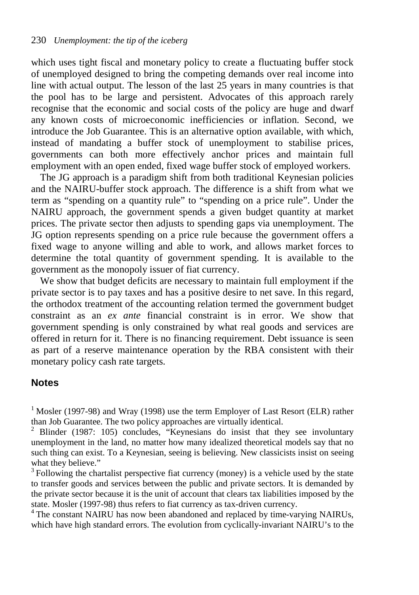which uses tight fiscal and monetary policy to create a fluctuating buffer stock of unemployed designed to bring the competing demands over real income into line with actual output. The lesson of the last 25 years in many countries is that the pool has to be large and persistent. Advocates of this approach rarely recognise that the economic and social costs of the policy are huge and dwarf any known costs of microeconomic inefficiencies or inflation. Second, we introduce the Job Guarantee. This is an alternative option available, with which, instead of mandating a buffer stock of unemployment to stabilise prices, governments can both more effectively anchor prices and maintain full employment with an open ended, fixed wage buffer stock of employed workers.

The JG approach is a paradigm shift from both traditional Keynesian policies and the NAIRU-buffer stock approach. The difference is a shift from what we term as "spending on a quantity rule" to "spending on a price rule". Under the NAIRU approach, the government spends a given budget quantity at market prices. The private sector then adjusts to spending gaps via unemployment. The JG option represents spending on a price rule because the government offers a fixed wage to anyone willing and able to work, and allows market forces to determine the total quantity of government spending. It is available to the government as the monopoly issuer of fiat currency.

We show that budget deficits are necessary to maintain full employment if the private sector is to pay taxes and has a positive desire to net save. In this regard, the orthodox treatment of the accounting relation termed the government budget constraint as an *ex ante* financial constraint is in error. We show that government spending is only constrained by what real goods and services are offered in return for it. There is no financing requirement. Debt issuance is seen as part of a reserve maintenance operation by the RBA consistent with their monetary policy cash rate targets.

#### **Notes**

<span id="page-11-0"></span><sup>1</sup> Mosler (1997-98) and Wray (1998) use the term Employer of Last Resort (ELR) rather than Job Guarantee. The two policy approaches are virtually identical.

<span id="page-11-3"></span><sup>4</sup> The constant NAIRU has now been abandoned and replaced by time-varying NAIRUs, which have high standard errors. The evolution from cyclically-invariant NAIRU's to the

<span id="page-11-1"></span><sup>&</sup>lt;sup>2</sup> Blinder (1987: 105) concludes, "Keynesians do insist that they see involuntary unemployment in the land, no matter how many idealized theoretical models say that no such thing can exist. To a Keynesian, seeing is believing. New classicists insist on seeing what they believe."

<span id="page-11-2"></span> $3$  Following the chartalist perspective fiat currency (money) is a vehicle used by the state to transfer goods and services between the public and private sectors. It is demanded by the private sector because it is the unit of account that clears tax liabilities imposed by the state. Mosler (1997-98) thus refers to fiat currency as tax-driven currency.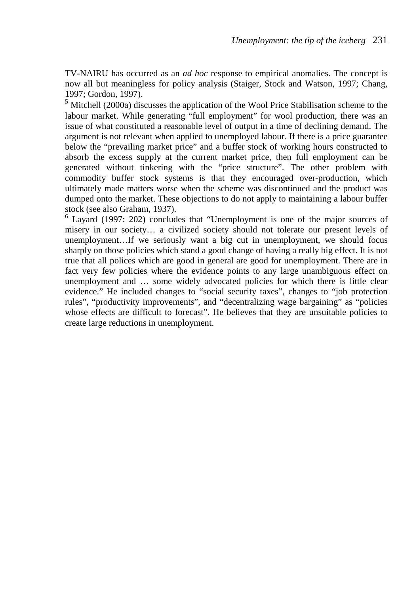TV-NAIRU has occurred as an *ad hoc* response to empirical anomalies. The concept is now all but meaningless for policy analysis (Staiger, Stock and Watson, 1997; Chang, 1997; Gordon, 1997).

<span id="page-12-0"></span><sup>5</sup> Mitchell (2000a) discusses the application of the Wool Price Stabilisation scheme to the labour market. While generating "full employment" for wool production, there was an issue of what constituted a reasonable level of output in a time of declining demand. The argument is not relevant when applied to unemployed labour. If there is a price guarantee below the "prevailing market price" and a buffer stock of working hours constructed to absorb the excess supply at the current market price, then full employment can be generated without tinkering with the "price structure". The other problem with commodity buffer stock systems is that they encouraged over-production, which ultimately made matters worse when the scheme was discontinued and the product was dumped onto the market. These objections to do not apply to maintaining a labour buffer stock (see also Graham, 1937).

<span id="page-12-1"></span><sup>6</sup> Layard (1997: 202) concludes that "Unemployment is one of the major sources of misery in our society… a civilized society should not tolerate our present levels of unemployment…If we seriously want a big cut in unemployment, we should focus sharply on those policies which stand a good change of having a really big effect. It is not true that all polices which are good in general are good for unemployment. There are in fact very few policies where the evidence points to any large unambiguous effect on unemployment and … some widely advocated policies for which there is little clear evidence." He included changes to "social security taxes", changes to "job protection rules", "productivity improvements", and "decentralizing wage bargaining" as "policies whose effects are difficult to forecast". He believes that they are unsuitable policies to create large reductions in unemployment.